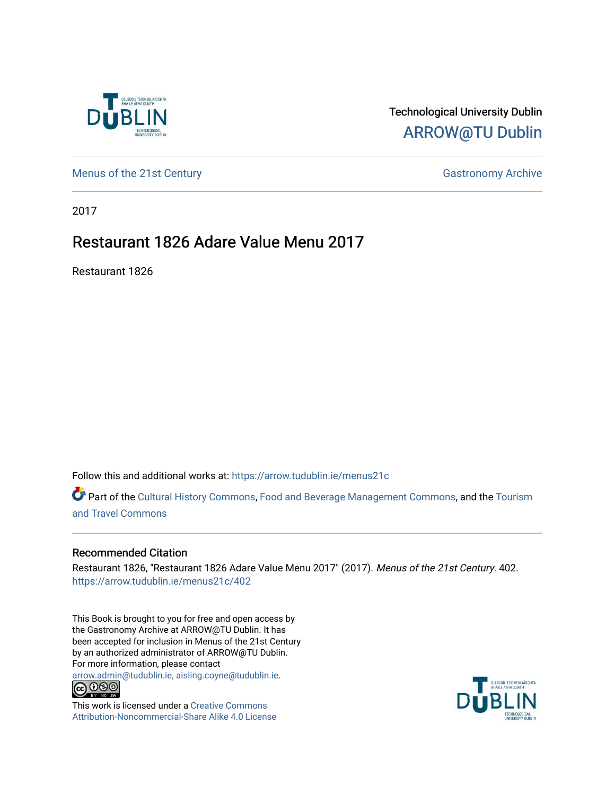

### Technological University Dublin [ARROW@TU Dublin](https://arrow.tudublin.ie/)

[Menus of the 21st Century](https://arrow.tudublin.ie/menus21c) Gastronomy Archive

2017

## Restaurant 1826 Adare Value Menu 2017

Restaurant 1826

Follow this and additional works at: [https://arrow.tudublin.ie/menus21c](https://arrow.tudublin.ie/menus21c?utm_source=arrow.tudublin.ie%2Fmenus21c%2F402&utm_medium=PDF&utm_campaign=PDFCoverPages) 

Part of the [Cultural History Commons](http://network.bepress.com/hgg/discipline/496?utm_source=arrow.tudublin.ie%2Fmenus21c%2F402&utm_medium=PDF&utm_campaign=PDFCoverPages), [Food and Beverage Management Commons,](http://network.bepress.com/hgg/discipline/1089?utm_source=arrow.tudublin.ie%2Fmenus21c%2F402&utm_medium=PDF&utm_campaign=PDFCoverPages) and the [Tourism](http://network.bepress.com/hgg/discipline/1082?utm_source=arrow.tudublin.ie%2Fmenus21c%2F402&utm_medium=PDF&utm_campaign=PDFCoverPages) [and Travel Commons](http://network.bepress.com/hgg/discipline/1082?utm_source=arrow.tudublin.ie%2Fmenus21c%2F402&utm_medium=PDF&utm_campaign=PDFCoverPages)

### Recommended Citation

Restaurant 1826, "Restaurant 1826 Adare Value Menu 2017" (2017). Menus of the 21st Century. 402. [https://arrow.tudublin.ie/menus21c/402](https://arrow.tudublin.ie/menus21c/402?utm_source=arrow.tudublin.ie%2Fmenus21c%2F402&utm_medium=PDF&utm_campaign=PDFCoverPages) 

This Book is brought to you for free and open access by the Gastronomy Archive at ARROW@TU Dublin. It has been accepted for inclusion in Menus of the 21st Century by an authorized administrator of ARROW@TU Dublin. For more information, please contact

[arrow.admin@tudublin.ie, aisling.coyne@tudublin.ie](mailto:arrow.admin@tudublin.ie,%20aisling.coyne@tudublin.ie).<br>
co 060



This work is licensed under a [Creative Commons](http://creativecommons.org/licenses/by-nc-sa/4.0/) [Attribution-Noncommercial-Share Alike 4.0 License](http://creativecommons.org/licenses/by-nc-sa/4.0/)

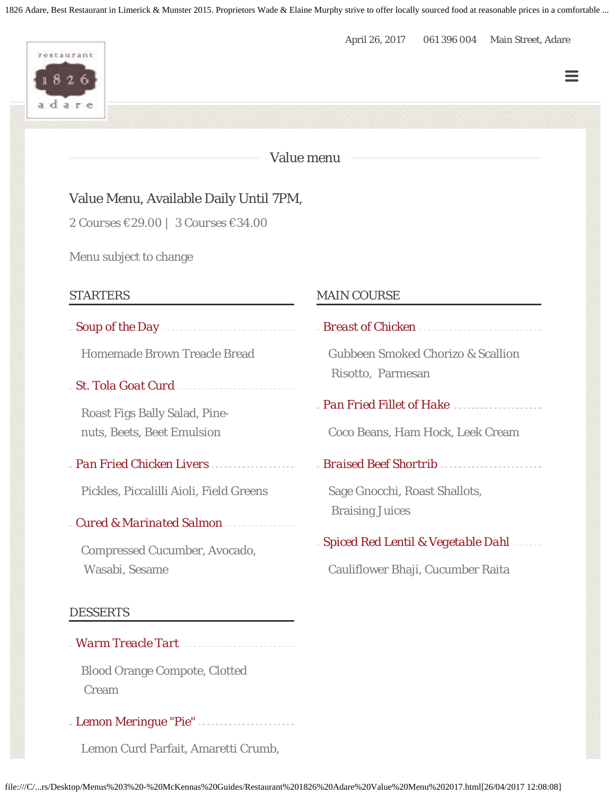1826 Adare, Best Restaurant in Limerick & Munster 2015. Proprietors Wade & Elaine Murphy strive to offer locally sourced food at reasonable prices in a comfortable ...

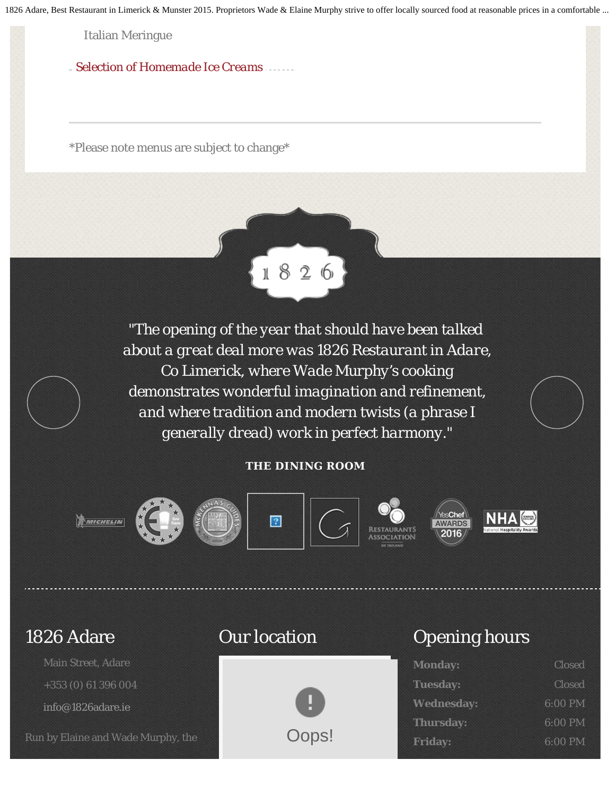1826 Adare, Best Restaurant in Limerick & Munster 2015. Proprietors Wade & Elaine Murphy strive to offer locally sourced food at reasonable prices in a comfortable ...

Italian Meringue

*Selection of Homemade Ice Creams*

\*Please note menus are subject to change\*



*"The opening of the year that should have been talked about a great deal more was 1826 Restaurant in Adare, Co Limerick, where Wade Murphy's cooking demonstrates wonderful imagination and refinement, and where tradition and modern twists (a phrase I generally dread) work in perfect harmony."*

#### **THE DINING ROOM**



# 1826 Adare

Main Street, Adare +353 (0) 61 396 004 [info@1826adare.ie](mailto:info@1826adare.ie)

Run by Elaine and Wade Murphy, the

### Our location



## Opening hours

| <b>Monday:</b>    | <b>Closed</b> |
|-------------------|---------------|
| <b>Tuesday:</b>   | <b>Closed</b> |
| <b>Wednesday:</b> | 6:00 PM       |
| <b>Thursday:</b>  | $6:00$ PM     |
| <b>Friday:</b>    | 6:00 PM       |